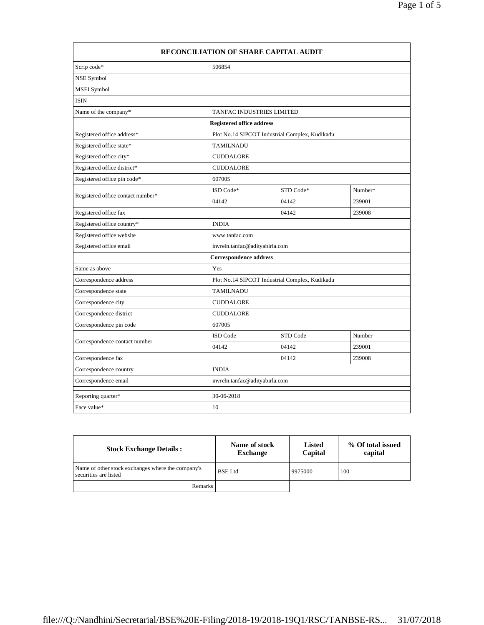| RECONCILIATION OF SHARE CAPITAL AUDIT |                               |                                                |         |  |
|---------------------------------------|-------------------------------|------------------------------------------------|---------|--|
| Scrip code*                           | 506854                        |                                                |         |  |
| NSE Symbol                            |                               |                                                |         |  |
| <b>MSEI</b> Symbol                    |                               |                                                |         |  |
| <b>ISIN</b>                           |                               |                                                |         |  |
| Name of the company*                  | TANFAC INDUSTRIES LIMITED     |                                                |         |  |
| <b>Registered office address</b>      |                               |                                                |         |  |
| Registered office address*            |                               | Plot No.14 SIPCOT Industrial Complex, Kudikadu |         |  |
| Registered office state*              | <b>TAMILNADU</b>              |                                                |         |  |
| Registered office city*               | <b>CUDDALORE</b>              |                                                |         |  |
| Registered office district*           | <b>CUDDALORE</b>              |                                                |         |  |
| Registered office pin code*           | 607005                        |                                                |         |  |
| Registered office contact number*     | ISD Code*                     | STD Code*                                      | Number* |  |
|                                       | 04142                         | 04142                                          | 239001  |  |
| Registered office fax                 |                               | 04142                                          | 239008  |  |
| Registered office country*            | <b>INDIA</b>                  |                                                |         |  |
| Registered office website             | www.tanfac.com                |                                                |         |  |
| Registered office email               |                               | invreln.tanfac@adityabirla.com                 |         |  |
|                                       | <b>Correspondence address</b> |                                                |         |  |
| Same as above                         | Yes                           |                                                |         |  |
| Correspondence address                |                               | Plot No.14 SIPCOT Industrial Complex, Kudikadu |         |  |
| Correspondence state                  | <b>TAMILNADU</b>              |                                                |         |  |
| Correspondence city                   | <b>CUDDALORE</b>              |                                                |         |  |
| Correspondence district               | <b>CUDDALORE</b>              |                                                |         |  |
| Correspondence pin code               | 607005                        |                                                |         |  |
| Correspondence contact number         | <b>ISD</b> Code               | STD Code                                       | Number  |  |
|                                       | 04142                         | 04142                                          | 239001  |  |
| Correspondence fax                    |                               | 04142                                          | 239008  |  |
| Correspondence country                | <b>INDIA</b>                  |                                                |         |  |
| Correspondence email                  |                               | invreln.tanfac@adityabirla.com                 |         |  |
| Reporting quarter*                    | 30-06-2018                    |                                                |         |  |
| Face value*                           | 10                            |                                                |         |  |

| <b>Stock Exchange Details:</b>                                             | Name of stock<br><b>Exchange</b> | Listed<br>Capital | % Of total issued<br>capital |
|----------------------------------------------------------------------------|----------------------------------|-------------------|------------------------------|
| Name of other stock exchanges where the company's<br>securities are listed | <b>BSE</b> Ltd                   | 9975000           | 100                          |
| Remarks                                                                    |                                  |                   |                              |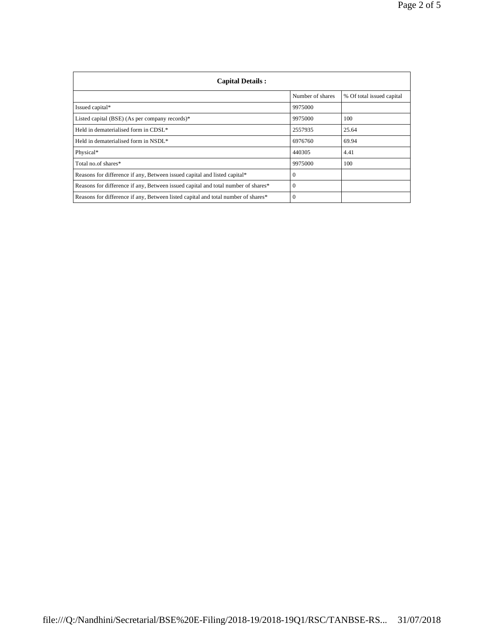| <b>Capital Details:</b>                                                           |                  |                           |
|-----------------------------------------------------------------------------------|------------------|---------------------------|
|                                                                                   | Number of shares | % Of total issued capital |
| Issued capital*                                                                   | 9975000          |                           |
| Listed capital (BSE) (As per company records)*                                    | 9975000          | 100                       |
| Held in dematerialised form in CDSL*                                              | 2557935          | 25.64                     |
| Held in dematerialised form in NSDL*                                              | 6976760          | 69.94                     |
| Physical*                                                                         | 440305           | 4.41                      |
| Total no.of shares*                                                               | 9975000          | 100                       |
| Reasons for difference if any, Between issued capital and listed capital*         | $\Omega$         |                           |
| Reasons for difference if any, Between issued capital and total number of shares* | $\Omega$         |                           |
| Reasons for difference if any, Between listed capital and total number of shares* | $\Omega$         |                           |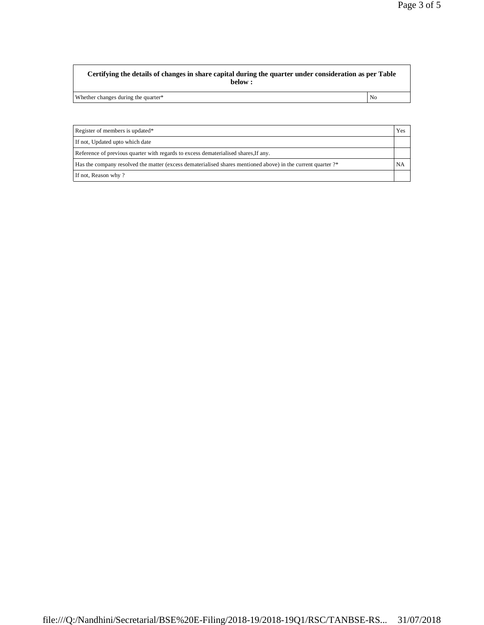Whether changes during the quarter\* No

| Register of members is updated*                                                                              | Yes |
|--------------------------------------------------------------------------------------------------------------|-----|
| If not, Updated upto which date                                                                              |     |
| Reference of previous quarter with regards to excess dematerialised shares, If any.                          |     |
| Has the company resolved the matter (excess dematerialised shares mentioned above) in the current quarter ?* |     |
| If not, Reason why?                                                                                          |     |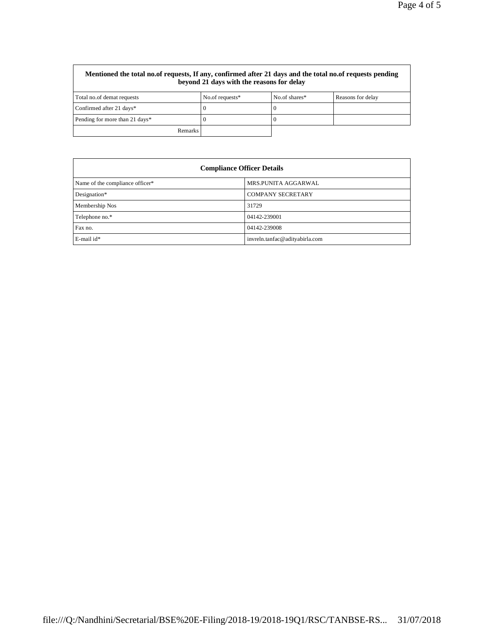| Mentioned the total no.of requests, If any, confirmed after 21 days and the total no.of requests pending<br>beyond 21 days with the reasons for delay |                 |               |                   |
|-------------------------------------------------------------------------------------------------------------------------------------------------------|-----------------|---------------|-------------------|
| Total no.of demat requests                                                                                                                            | No.of requests* | No.of shares* | Reasons for delay |
| Confirmed after 21 days*                                                                                                                              |                 | U             |                   |
| Pending for more than 21 days*                                                                                                                        |                 |               |                   |
| <b>Remarks</b>                                                                                                                                        |                 |               |                   |

| <b>Compliance Officer Details</b> |                                |  |
|-----------------------------------|--------------------------------|--|
| Name of the compliance officer*   | MRS.PUNITA AGGARWAL            |  |
| Designation*                      | <b>COMPANY SECRETARY</b>       |  |
| Membership Nos                    | 31729                          |  |
| Telephone no.*                    | 04142-239001                   |  |
| Fax no.                           | 04142-239008                   |  |
| E-mail id*                        | invreln.tanfac@adityabirla.com |  |